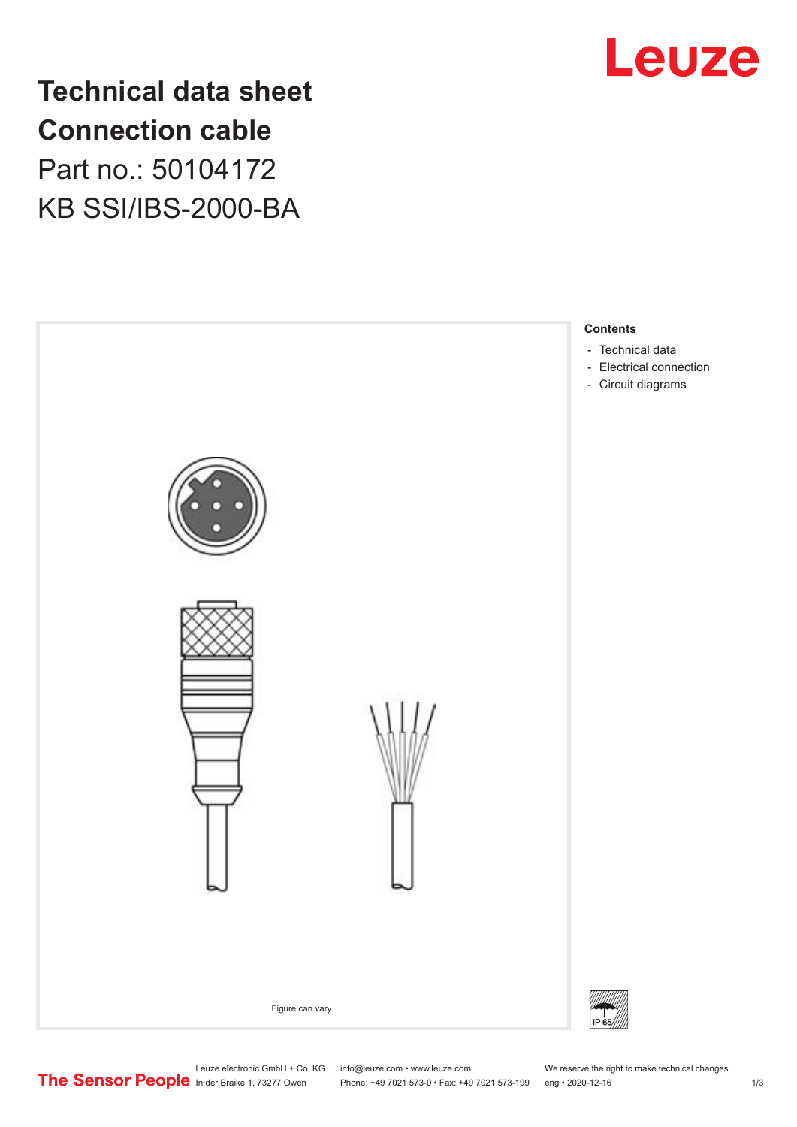

## **Technical data sheet Connection cable** Part no.: 50104172 KB SSI/IBS-2000-BA



Leuze electronic GmbH + Co. KG info@leuze.com • www.leuze.com We reserve the right to make technical changes<br>
The Sensor People in der Braike 1, 73277 Owen Phone: +49 7021 573-0 • Fax: +49 7021 573-199 eng • 2020-12-16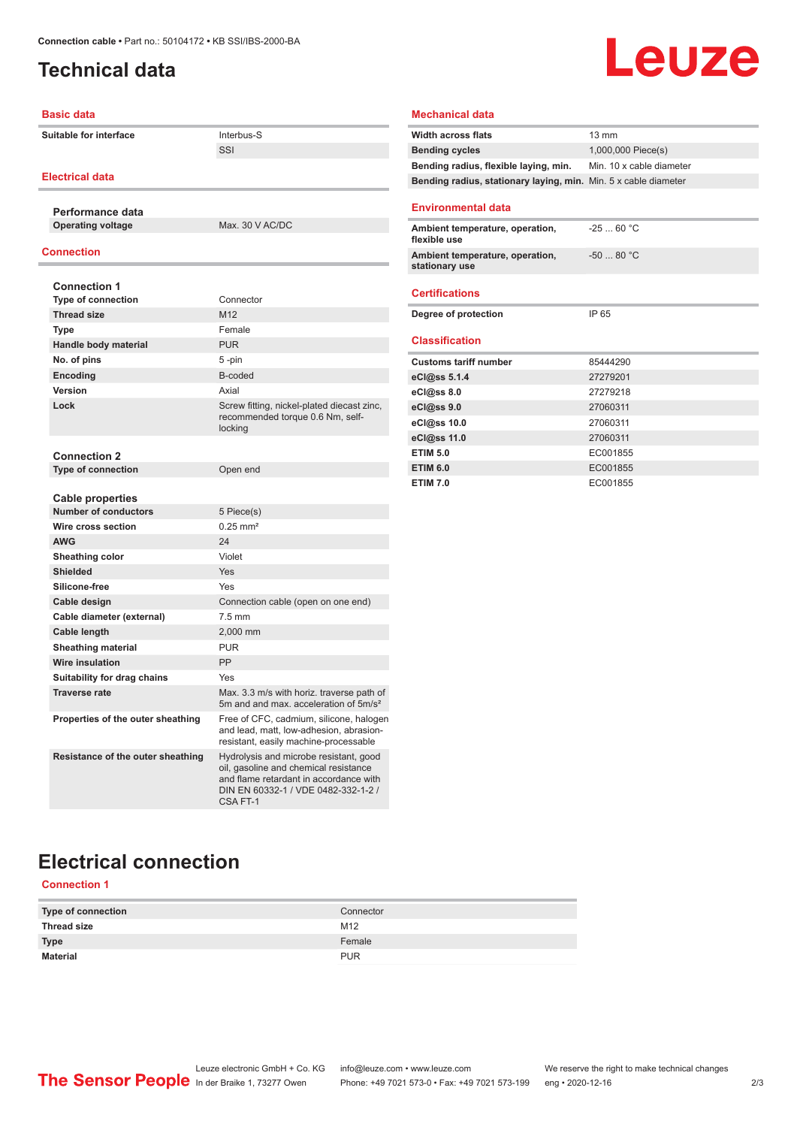## <span id="page-1-0"></span>**Technical data**

# Leuze

| <b>Basic data</b>                 |                                                                                                                                                                              | <b>Mechanical data</b>                                          |                          |
|-----------------------------------|------------------------------------------------------------------------------------------------------------------------------------------------------------------------------|-----------------------------------------------------------------|--------------------------|
| <b>Suitable for interface</b>     | Interbus-S                                                                                                                                                                   | <b>Width across flats</b>                                       | $13 \text{ mm}$          |
|                                   | SSI                                                                                                                                                                          | <b>Bending cycles</b>                                           | 1,000,000 Piece(s)       |
|                                   |                                                                                                                                                                              | Bending radius, flexible laying, min.                           | Min. 10 x cable diameter |
| <b>Electrical data</b>            |                                                                                                                                                                              | Bending radius, stationary laying, min. Min. 5 x cable diameter |                          |
| Performance data                  |                                                                                                                                                                              | <b>Environmental data</b>                                       |                          |
| <b>Operating voltage</b>          | Max. 30 V AC/DC                                                                                                                                                              | Ambient temperature, operation,                                 | $-2560 °C$               |
| <b>Connection</b>                 |                                                                                                                                                                              | flexible use<br>Ambient temperature, operation,                 | $-5080 °C$               |
|                                   |                                                                                                                                                                              | stationary use                                                  |                          |
| <b>Connection 1</b>               |                                                                                                                                                                              |                                                                 |                          |
| <b>Type of connection</b>         | Connector                                                                                                                                                                    | <b>Certifications</b>                                           |                          |
| <b>Thread size</b>                | M12                                                                                                                                                                          | Degree of protection                                            | IP 65                    |
| Type                              | Female                                                                                                                                                                       |                                                                 |                          |
| Handle body material              | <b>PUR</b>                                                                                                                                                                   | <b>Classification</b>                                           |                          |
| No. of pins                       | $5 - pin$                                                                                                                                                                    | <b>Customs tariff number</b>                                    | 85444290                 |
| Encoding                          | B-coded                                                                                                                                                                      | eCl@ss 5.1.4                                                    | 27279201                 |
| Version                           | Axial                                                                                                                                                                        | eCl@ss 8.0                                                      | 27279218                 |
| Lock                              | Screw fitting, nickel-plated diecast zinc,                                                                                                                                   | eCl@ss 9.0                                                      | 27060311                 |
|                                   | recommended torque 0.6 Nm, self-                                                                                                                                             | eCl@ss 10.0                                                     | 27060311                 |
|                                   | locking                                                                                                                                                                      | eCl@ss 11.0                                                     | 27060311                 |
| <b>Connection 2</b>               |                                                                                                                                                                              | <b>ETIM 5.0</b>                                                 | EC001855                 |
| <b>Type of connection</b>         | Open end                                                                                                                                                                     | <b>ETIM 6.0</b>                                                 | EC001855                 |
|                                   |                                                                                                                                                                              | <b>ETIM 7.0</b>                                                 | EC001855                 |
| <b>Cable properties</b>           |                                                                                                                                                                              |                                                                 |                          |
| <b>Number of conductors</b>       | 5 Piece(s)                                                                                                                                                                   |                                                                 |                          |
| Wire cross section                | $0.25$ mm <sup>2</sup>                                                                                                                                                       |                                                                 |                          |
| <b>AWG</b>                        | 24                                                                                                                                                                           |                                                                 |                          |
| Sheathing color                   | Violet                                                                                                                                                                       |                                                                 |                          |
| <b>Shielded</b>                   | <b>Yes</b>                                                                                                                                                                   |                                                                 |                          |
| Silicone-free                     | Yes                                                                                                                                                                          |                                                                 |                          |
| Cable design                      | Connection cable (open on one end)                                                                                                                                           |                                                                 |                          |
| Cable diameter (external)         | $7.5$ mm                                                                                                                                                                     |                                                                 |                          |
| Cable length                      | 2,000 mm                                                                                                                                                                     |                                                                 |                          |
| <b>Sheathing material</b>         | <b>PUR</b>                                                                                                                                                                   |                                                                 |                          |
| <b>Wire insulation</b>            | PP                                                                                                                                                                           |                                                                 |                          |
| Suitability for drag chains       | Yes                                                                                                                                                                          |                                                                 |                          |
| <b>Traverse rate</b>              | Max. 3.3 m/s with horiz. traverse path of<br>5m and and max. acceleration of 5m/s <sup>2</sup>                                                                               |                                                                 |                          |
| Properties of the outer sheathing | Free of CFC, cadmium, silicone, halogen<br>and lead, matt, low-adhesion, abrasion-<br>resistant, easily machine-processable                                                  |                                                                 |                          |
| Resistance of the outer sheathing | Hydrolysis and microbe resistant, good<br>oil, gasoline and chemical resistance<br>and flame retardant in accordance with<br>DIN EN 60332-1 / VDE 0482-332-1-2 /<br>CSA FT-1 |                                                                 |                          |

## **Electrical connection**

#### **Connection 1**

| <b>Type of connection</b> | Connector  |
|---------------------------|------------|
| <b>Thread size</b>        | M12        |
| <b>Type</b>               | Female     |
| Material                  | <b>PUR</b> |